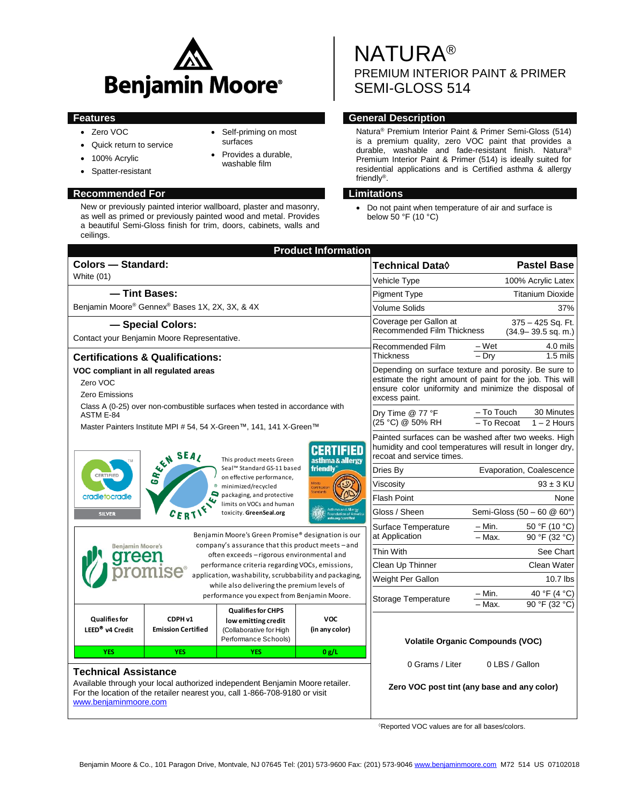

- Zero VOC
- Quick return to service
- 100% Acrylic
- Spatter-resistant

# **Recommended For Limitations**

New or previously painted interior wallboard, plaster and masonry, as well as primed or previously painted wood and metal. Provides a beautiful Semi-Gloss finish for trim, doors, cabinets, walls and ceilings.

 Self-priming on most surfaces • Provides a durable, washable film

NATURA® PREMIUM INTERIOR PAINT & PRIMER SEMI-GLOSS 514

# **Features General Description**

Natura® Premium Interior Paint & Primer Semi-Gloss (514) is a premium quality, zero VOC paint that provides a durable, washable and fade-resistant finish. Natura® Premium Interior Paint & Primer (514) is ideally suited for residential applications and is Certified asthma & allergy friendly® .

 Do not paint when temperature of air and surface is below 50 °F (10 °C)

| <b>Colors - Standard:</b><br>Technical Data <b>◊</b><br><b>White (01)</b><br>Vehicle Type<br>- Tint Bases:<br><b>Pigment Type</b><br>Benjamin Moore® Gennex® Bases 1X, 2X, 3X, & 4X<br><b>Volume Solids</b><br>Coverage per Gallon at<br>- Special Colors:<br><b>Recommended Film Thickness</b><br>Contact your Benjamin Moore Representative.<br>Recommended Film<br>– Wet<br>$-$ Drv<br>Thickness<br><b>Certifications &amp; Qualifications:</b><br>VOC compliant in all regulated areas<br>Zero VOC<br>Zero Emissions<br>excess paint.<br>Class A (0-25) over non-combustible surfaces when tested in accordance with<br>- To Touch<br>Dry Time @ 77 °F<br>ASTM E-84<br>(25 °C) @ 50% RH<br>$-$ To Recoat<br>Master Painters Institute MPI # 54, 54 X-Green™, 141, 141 X-Green™<br>SEA SEAL<br>recoat and service times.<br>This product meets Green<br>asthma & allergy<br><b>friendly</b><br>Seal™ Standard GS-11 based<br>Dries By<br>CERTIFIED<br>on effective performance,<br>Viscosity<br>minimized/recycled<br>packaging, and protective<br>cradletocradle<br><b>Flash Point</b><br>limits on VOCs and human<br>CERTIF<br>Gloss / Sheen<br>toxicity. GreenSeal.org<br><b>SILVER</b><br>– Min.<br>Surface Temperature<br>Benjamin Moore's Green Promise® designation is our<br>at Application<br>- Max.<br>company's assurance that this product meets - and<br><b>Benjamin Moore's</b><br>Thin With<br>often exceeds - rigorous environmental and<br>rreen<br>Clean Up Thinner<br>performance criteria regarding VOCs, emissions,<br>mise®<br>application, washability, scrubbability and packaging,<br>Weight Per Gallon<br>while also delivering the premium levels of<br>– Min.<br>performance you expect from Benjamin Moore.<br>Storage Temperature<br>$\overline{-}$ Max.<br><b>Qualifies for CHPS</b><br><b>Qualifies for</b><br><b>VOC</b><br>CDPH v1<br>low emitting credit<br>LEED <sup>®</sup> v4 Credit<br><b>Emission Certified</b><br>(in any color)<br>(Collaborative for High<br>Performance Schools)<br><b>Volatile Organic Compounds (VOC)</b><br>0 g/L<br><b>YES</b><br><b>YES</b><br><b>YES</b><br>0 Grams / Liter<br>0 LBS / Gallon<br><b>Technical Assistance</b><br>Available through your local authorized independent Benjamin Moore retailer.<br>Zero VOC post tint (any base and any color) | <b>Product Information</b>                                                 |  |  |                                                                                                                                                                            |                                                                                                                   |                                             |  |  |
|----------------------------------------------------------------------------------------------------------------------------------------------------------------------------------------------------------------------------------------------------------------------------------------------------------------------------------------------------------------------------------------------------------------------------------------------------------------------------------------------------------------------------------------------------------------------------------------------------------------------------------------------------------------------------------------------------------------------------------------------------------------------------------------------------------------------------------------------------------------------------------------------------------------------------------------------------------------------------------------------------------------------------------------------------------------------------------------------------------------------------------------------------------------------------------------------------------------------------------------------------------------------------------------------------------------------------------------------------------------------------------------------------------------------------------------------------------------------------------------------------------------------------------------------------------------------------------------------------------------------------------------------------------------------------------------------------------------------------------------------------------------------------------------------------------------------------------------------------------------------------------------------------------------------------------------------------------------------------------------------------------------------------------------------------------------------------------------------------------------------------------------------------------------------------------------------------------------------------------------------------------------------------------------------------------------------------------|----------------------------------------------------------------------------|--|--|----------------------------------------------------------------------------------------------------------------------------------------------------------------------------|-------------------------------------------------------------------------------------------------------------------|---------------------------------------------|--|--|
|                                                                                                                                                                                                                                                                                                                                                                                                                                                                                                                                                                                                                                                                                                                                                                                                                                                                                                                                                                                                                                                                                                                                                                                                                                                                                                                                                                                                                                                                                                                                                                                                                                                                                                                                                                                                                                                                                                                                                                                                                                                                                                                                                                                                                                                                                                                                  |                                                                            |  |  |                                                                                                                                                                            |                                                                                                                   | <b>Pastel Base</b>                          |  |  |
|                                                                                                                                                                                                                                                                                                                                                                                                                                                                                                                                                                                                                                                                                                                                                                                                                                                                                                                                                                                                                                                                                                                                                                                                                                                                                                                                                                                                                                                                                                                                                                                                                                                                                                                                                                                                                                                                                                                                                                                                                                                                                                                                                                                                                                                                                                                                  |                                                                            |  |  |                                                                                                                                                                            | 100% Acrylic Latex                                                                                                |                                             |  |  |
|                                                                                                                                                                                                                                                                                                                                                                                                                                                                                                                                                                                                                                                                                                                                                                                                                                                                                                                                                                                                                                                                                                                                                                                                                                                                                                                                                                                                                                                                                                                                                                                                                                                                                                                                                                                                                                                                                                                                                                                                                                                                                                                                                                                                                                                                                                                                  |                                                                            |  |  |                                                                                                                                                                            | <b>Titanium Dioxide</b>                                                                                           |                                             |  |  |
|                                                                                                                                                                                                                                                                                                                                                                                                                                                                                                                                                                                                                                                                                                                                                                                                                                                                                                                                                                                                                                                                                                                                                                                                                                                                                                                                                                                                                                                                                                                                                                                                                                                                                                                                                                                                                                                                                                                                                                                                                                                                                                                                                                                                                                                                                                                                  |                                                                            |  |  |                                                                                                                                                                            | 37%                                                                                                               |                                             |  |  |
|                                                                                                                                                                                                                                                                                                                                                                                                                                                                                                                                                                                                                                                                                                                                                                                                                                                                                                                                                                                                                                                                                                                                                                                                                                                                                                                                                                                                                                                                                                                                                                                                                                                                                                                                                                                                                                                                                                                                                                                                                                                                                                                                                                                                                                                                                                                                  |                                                                            |  |  |                                                                                                                                                                            |                                                                                                                   | 375 - 425 Sq. Ft.<br>$(34.9 - 39.5$ sq. m.) |  |  |
|                                                                                                                                                                                                                                                                                                                                                                                                                                                                                                                                                                                                                                                                                                                                                                                                                                                                                                                                                                                                                                                                                                                                                                                                                                                                                                                                                                                                                                                                                                                                                                                                                                                                                                                                                                                                                                                                                                                                                                                                                                                                                                                                                                                                                                                                                                                                  |                                                                            |  |  |                                                                                                                                                                            | 4.0 mils                                                                                                          |                                             |  |  |
|                                                                                                                                                                                                                                                                                                                                                                                                                                                                                                                                                                                                                                                                                                                                                                                                                                                                                                                                                                                                                                                                                                                                                                                                                                                                                                                                                                                                                                                                                                                                                                                                                                                                                                                                                                                                                                                                                                                                                                                                                                                                                                                                                                                                                                                                                                                                  |                                                                            |  |  |                                                                                                                                                                            |                                                                                                                   | $1.5$ mils                                  |  |  |
|                                                                                                                                                                                                                                                                                                                                                                                                                                                                                                                                                                                                                                                                                                                                                                                                                                                                                                                                                                                                                                                                                                                                                                                                                                                                                                                                                                                                                                                                                                                                                                                                                                                                                                                                                                                                                                                                                                                                                                                                                                                                                                                                                                                                                                                                                                                                  |                                                                            |  |  | Depending on surface texture and porosity. Be sure to<br>estimate the right amount of paint for the job. This will<br>ensure color uniformity and minimize the disposal of |                                                                                                                   |                                             |  |  |
|                                                                                                                                                                                                                                                                                                                                                                                                                                                                                                                                                                                                                                                                                                                                                                                                                                                                                                                                                                                                                                                                                                                                                                                                                                                                                                                                                                                                                                                                                                                                                                                                                                                                                                                                                                                                                                                                                                                                                                                                                                                                                                                                                                                                                                                                                                                                  |                                                                            |  |  |                                                                                                                                                                            |                                                                                                                   | 30 Minutes<br>$1 - 2$ Hours                 |  |  |
|                                                                                                                                                                                                                                                                                                                                                                                                                                                                                                                                                                                                                                                                                                                                                                                                                                                                                                                                                                                                                                                                                                                                                                                                                                                                                                                                                                                                                                                                                                                                                                                                                                                                                                                                                                                                                                                                                                                                                                                                                                                                                                                                                                                                                                                                                                                                  |                                                                            |  |  |                                                                                                                                                                            | Painted surfaces can be washed after two weeks. High<br>humidity and cool temperatures will result in longer dry, |                                             |  |  |
|                                                                                                                                                                                                                                                                                                                                                                                                                                                                                                                                                                                                                                                                                                                                                                                                                                                                                                                                                                                                                                                                                                                                                                                                                                                                                                                                                                                                                                                                                                                                                                                                                                                                                                                                                                                                                                                                                                                                                                                                                                                                                                                                                                                                                                                                                                                                  |                                                                            |  |  |                                                                                                                                                                            |                                                                                                                   | Evaporation, Coalescence                    |  |  |
|                                                                                                                                                                                                                                                                                                                                                                                                                                                                                                                                                                                                                                                                                                                                                                                                                                                                                                                                                                                                                                                                                                                                                                                                                                                                                                                                                                                                                                                                                                                                                                                                                                                                                                                                                                                                                                                                                                                                                                                                                                                                                                                                                                                                                                                                                                                                  |                                                                            |  |  |                                                                                                                                                                            |                                                                                                                   | $93 \pm 3$ KU                               |  |  |
|                                                                                                                                                                                                                                                                                                                                                                                                                                                                                                                                                                                                                                                                                                                                                                                                                                                                                                                                                                                                                                                                                                                                                                                                                                                                                                                                                                                                                                                                                                                                                                                                                                                                                                                                                                                                                                                                                                                                                                                                                                                                                                                                                                                                                                                                                                                                  |                                                                            |  |  |                                                                                                                                                                            |                                                                                                                   | None                                        |  |  |
|                                                                                                                                                                                                                                                                                                                                                                                                                                                                                                                                                                                                                                                                                                                                                                                                                                                                                                                                                                                                                                                                                                                                                                                                                                                                                                                                                                                                                                                                                                                                                                                                                                                                                                                                                                                                                                                                                                                                                                                                                                                                                                                                                                                                                                                                                                                                  |                                                                            |  |  |                                                                                                                                                                            |                                                                                                                   | Semi-Gloss (50 - 60 @ 60°)                  |  |  |
|                                                                                                                                                                                                                                                                                                                                                                                                                                                                                                                                                                                                                                                                                                                                                                                                                                                                                                                                                                                                                                                                                                                                                                                                                                                                                                                                                                                                                                                                                                                                                                                                                                                                                                                                                                                                                                                                                                                                                                                                                                                                                                                                                                                                                                                                                                                                  |                                                                            |  |  |                                                                                                                                                                            | 50 °F (10 °C)<br>90 °F (32 °C)                                                                                    |                                             |  |  |
|                                                                                                                                                                                                                                                                                                                                                                                                                                                                                                                                                                                                                                                                                                                                                                                                                                                                                                                                                                                                                                                                                                                                                                                                                                                                                                                                                                                                                                                                                                                                                                                                                                                                                                                                                                                                                                                                                                                                                                                                                                                                                                                                                                                                                                                                                                                                  |                                                                            |  |  |                                                                                                                                                                            | See Chart                                                                                                         |                                             |  |  |
|                                                                                                                                                                                                                                                                                                                                                                                                                                                                                                                                                                                                                                                                                                                                                                                                                                                                                                                                                                                                                                                                                                                                                                                                                                                                                                                                                                                                                                                                                                                                                                                                                                                                                                                                                                                                                                                                                                                                                                                                                                                                                                                                                                                                                                                                                                                                  |                                                                            |  |  |                                                                                                                                                                            |                                                                                                                   | Clean Water                                 |  |  |
|                                                                                                                                                                                                                                                                                                                                                                                                                                                                                                                                                                                                                                                                                                                                                                                                                                                                                                                                                                                                                                                                                                                                                                                                                                                                                                                                                                                                                                                                                                                                                                                                                                                                                                                                                                                                                                                                                                                                                                                                                                                                                                                                                                                                                                                                                                                                  |                                                                            |  |  |                                                                                                                                                                            | 10.7 lbs                                                                                                          |                                             |  |  |
|                                                                                                                                                                                                                                                                                                                                                                                                                                                                                                                                                                                                                                                                                                                                                                                                                                                                                                                                                                                                                                                                                                                                                                                                                                                                                                                                                                                                                                                                                                                                                                                                                                                                                                                                                                                                                                                                                                                                                                                                                                                                                                                                                                                                                                                                                                                                  |                                                                            |  |  |                                                                                                                                                                            | 40 °F (4 °C)<br>90 °F (32 °C)                                                                                     |                                             |  |  |
|                                                                                                                                                                                                                                                                                                                                                                                                                                                                                                                                                                                                                                                                                                                                                                                                                                                                                                                                                                                                                                                                                                                                                                                                                                                                                                                                                                                                                                                                                                                                                                                                                                                                                                                                                                                                                                                                                                                                                                                                                                                                                                                                                                                                                                                                                                                                  |                                                                            |  |  |                                                                                                                                                                            |                                                                                                                   |                                             |  |  |
|                                                                                                                                                                                                                                                                                                                                                                                                                                                                                                                                                                                                                                                                                                                                                                                                                                                                                                                                                                                                                                                                                                                                                                                                                                                                                                                                                                                                                                                                                                                                                                                                                                                                                                                                                                                                                                                                                                                                                                                                                                                                                                                                                                                                                                                                                                                                  |                                                                            |  |  |                                                                                                                                                                            |                                                                                                                   |                                             |  |  |
| www.beniaminmoore.com                                                                                                                                                                                                                                                                                                                                                                                                                                                                                                                                                                                                                                                                                                                                                                                                                                                                                                                                                                                                                                                                                                                                                                                                                                                                                                                                                                                                                                                                                                                                                                                                                                                                                                                                                                                                                                                                                                                                                                                                                                                                                                                                                                                                                                                                                                            | For the location of the retailer nearest you, call 1-866-708-9180 or visit |  |  |                                                                                                                                                                            |                                                                                                                   |                                             |  |  |

Reported VOC values are for all bases/colors.